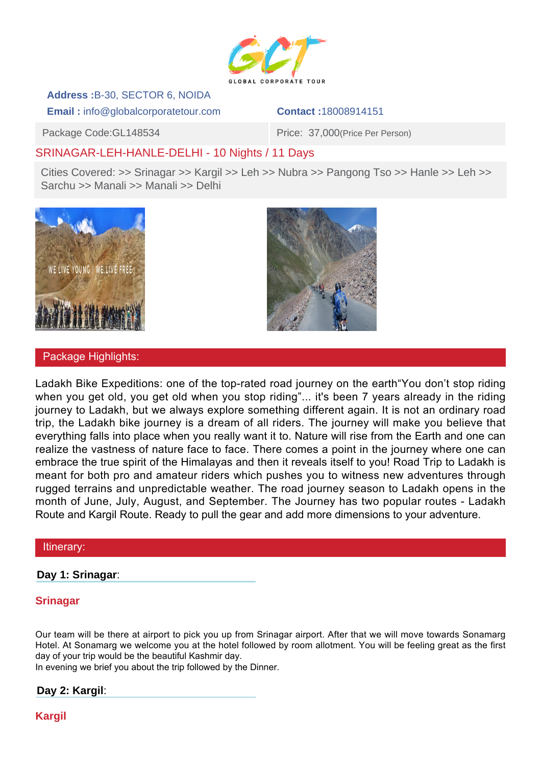

# **Address :**B-30, SECTOR 6, NOIDA

**Email :** info@globalcorporatetour.com **Contact :**18008914151

Package Code:GL148534 Package Code:GL148534

# SRINAGAR-LEH-HANLE-DELHI - 10 Nights / 11 Days

Cities Covered: >> Srinagar >> Kargil >> Leh >> Nubra >> Pangong Tso >> Hanle >> Leh >> Sarchu >> Manali >> Manali >> Delhi



## Package Highlights:



#### Itinerary:

**Day 1: Srinagar**:

# **Srinagar**

Our team will be there at airport to pick you up from Srinagar airport. After that we will move towards Sonamarg Hotel. At Sonamarg we welcome you at the hotel followed by room allotment. You will be feeling great as the first day of your trip would be the beautiful Kashmir day.

In evening we brief you about the trip followed by the Dinner.

# **Day 2: Kargil**:

**Kargil**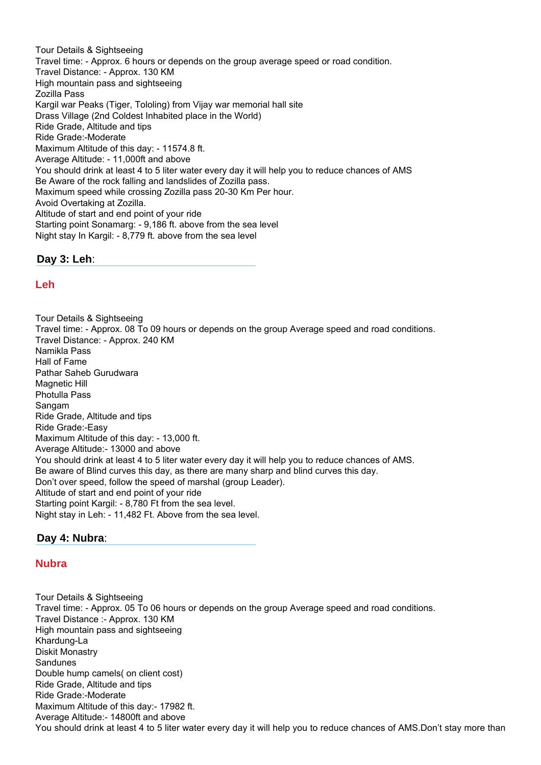Tour Details & Sightseeing Travel time: - Approx. 6 hours or depends on the group average speed or road condition. Travel Distance: - Approx. 130 KM High mountain pass and sightseeing Zozilla Pass Kargil war Peaks (Tiger, Tololing) from Vijay war memorial hall site Drass Village (2nd Coldest Inhabited place in the World) Ride Grade, Altitude and tips Ride Grade:-Moderate Maximum Altitude of this day: - 11574.8 ft. Average Altitude: - 11,000ft and above You should drink at least 4 to 5 liter water every day it will help you to reduce chances of AMS Be Aware of the rock falling and landslides of Zozilla pass. Maximum speed while crossing Zozilla pass 20-30 Km Per hour. Avoid Overtaking at Zozilla. Altitude of start and end point of your ride Starting point Sonamarg: - 9,186 ft. above from the sea level Night stay In Kargil: - 8,779 ft. above from the sea level

**Day 3: Leh**:

## **Leh**

Tour Details & Sightseeing Travel time: - Approx. 08 To 09 hours or depends on the group Average speed and road conditions. Travel Distance: - Approx. 240 KM Namikla Pass Hall of Fame Pathar Saheb Gurudwara Magnetic Hill Photulla Pass Sangam Ride Grade, Altitude and tips Ride Grade:-Easy Maximum Altitude of this day: - 13,000 ft. Average Altitude:- 13000 and above You should drink at least 4 to 5 liter water every day it will help you to reduce chances of AMS. Be aware of Blind curves this day, as there are many sharp and blind curves this day. Don't over speed, follow the speed of marshal (group Leader). Altitude of start and end point of your ride Starting point Kargil: - 8,780 Ft from the sea level. Night stay in Leh: - 11,482 Ft. Above from the sea level.

## **Day 4: Nubra**:

#### **Nubra**

Tour Details & Sightseeing Travel time: - Approx. 05 To 06 hours or depends on the group Average speed and road conditions. Travel Distance :- Approx. 130 KM High mountain pass and sightseeing Khardung-La Diskit Monastry **Sandunes** Double hump camels( on client cost) Ride Grade, Altitude and tips Ride Grade:-Moderate Maximum Altitude of this day:- 17982 ft. Average Altitude:- 14800ft and above You should drink at least 4 to 5 liter water every day it will help you to reduce chances of AMS.Don't stay more than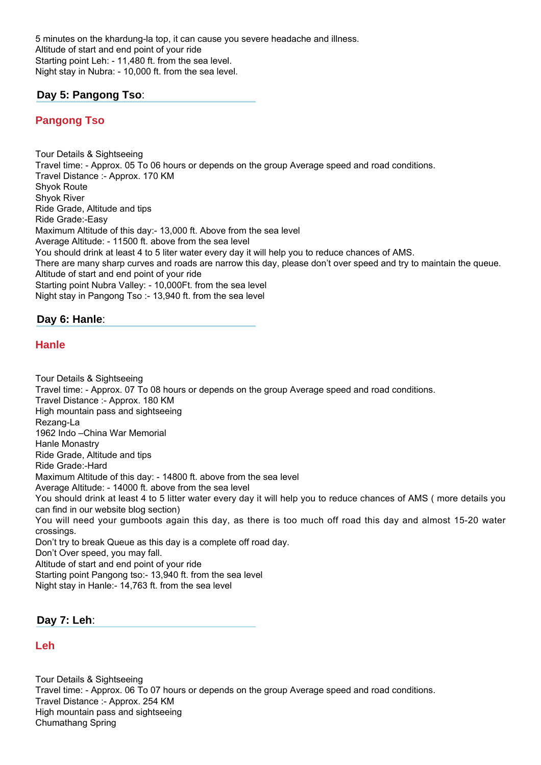5 minutes on the khardung-la top, it can cause you severe headache and illness. Altitude of start and end point of your ride Starting point Leh: - 11,480 ft. from the sea level. Night stay in Nubra: - 10,000 ft. from the sea level.

## **Day 5: Pangong Tso**:

## **Pangong Tso**

Tour Details & Sightseeing Travel time: - Approx. 05 To 06 hours or depends on the group Average speed and road conditions. Travel Distance :- Approx. 170 KM Shyok Route Shyok River Ride Grade, Altitude and tips Ride Grade:-Easy Maximum Altitude of this day:- 13,000 ft. Above from the sea level Average Altitude: - 11500 ft. above from the sea level You should drink at least 4 to 5 liter water every day it will help you to reduce chances of AMS. There are many sharp curves and roads are narrow this day, please don't over speed and try to maintain the queue. Altitude of start and end point of your ride Starting point Nubra Valley: - 10,000Ft. from the sea level Night stay in Pangong Tso :- 13,940 ft. from the sea level

#### **Day 6: Hanle**:

#### **Hanle**

Tour Details & Sightseeing Travel time: - Approx. 07 To 08 hours or depends on the group Average speed and road conditions. Travel Distance :- Approx. 180 KM High mountain pass and sightseeing Rezang-La 1962 Indo –China War Memorial Hanle Monastry Ride Grade, Altitude and tips Ride Grade:-Hard Maximum Altitude of this day: - 14800 ft. above from the sea level Average Altitude: - 14000 ft. above from the sea level You should drink at least 4 to 5 litter water every day it will help you to reduce chances of AMS ( more details you can find in our website blog section) You will need your gumboots again this day, as there is too much off road this day and almost 15-20 water crossings. Don't try to break Queue as this day is a complete off road day. Don't Over speed, you may fall. Altitude of start and end point of your ride Starting point Pangong tso:- 13,940 ft. from the sea level

Night stay in Hanle:- 14,763 ft. from the sea level

**Day 7: Leh**:

#### **Leh**

Tour Details & Sightseeing Travel time: - Approx. 06 To 07 hours or depends on the group Average speed and road conditions. Travel Distance :- Approx. 254 KM High mountain pass and sightseeing Chumathang Spring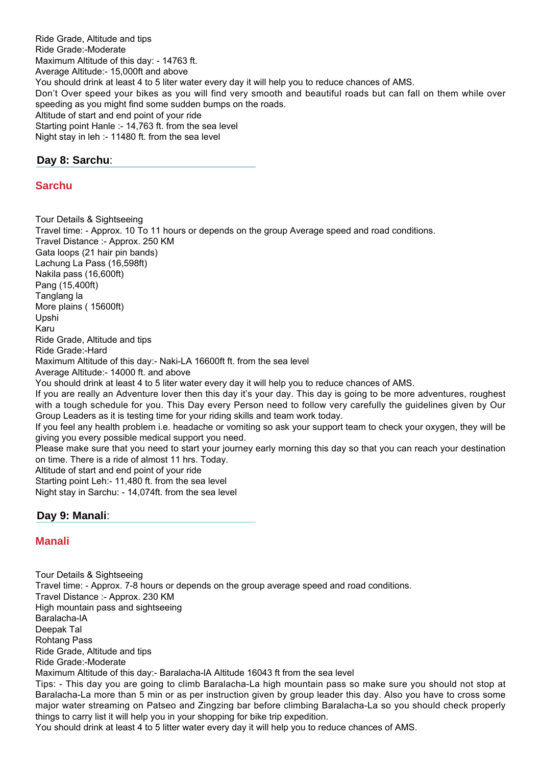Ride Grade, Altitude and tips Ride Grade:-Moderate Maximum Altitude of this day: - 14763 ft. Average Altitude:- 15,000ft and above You should drink at least 4 to 5 liter water every day it will help you to reduce chances of AMS. Don't Over speed your bikes as you will find very smooth and beautiful roads but can fall on them while over speeding as you might find some sudden bumps on the roads. Altitude of start and end point of your ride Starting point Hanle :- 14,763 ft. from the sea level Night stay in leh :- 11480 ft. from the sea level

# **Day 8: Sarchu**:

## **Sarchu**

Tour Details & Sightseeing Travel time: - Approx. 10 To 11 hours or depends on the group Average speed and road conditions. Travel Distance :- Approx. 250 KM Gata loops (21 hair pin bands) Lachung La Pass (16,598ft) Nakila pass (16,600ft) Pang (15,400ft) Tanglang la More plains ( 15600ft) Upshi Karu Ride Grade, Altitude and tips Ride Grade:-Hard Maximum Altitude of this day:- Naki-LA 16600ft ft. from the sea level Average Altitude:- 14000 ft. and above You should drink at least 4 to 5 liter water every day it will help you to reduce chances of AMS. If you are really an Adventure lover then this day it's your day. This day is going to be more adventures, roughest with a tough schedule for you. This Day every Person need to follow very carefully the guidelines given by Our Group Leaders as it is testing time for your riding skills and team work today. If you feel any health problem i.e. headache or vomiting so ask your support team to check your oxygen, they will be giving you every possible medical support you need. Please make sure that you need to start your journey early morning this day so that you can reach your destination on time. There is a ride of almost 11 hrs. Today. Altitude of start and end point of your ride Starting point Leh:- 11,480 ft. from the sea level Night stay in Sarchu: - 14,074ft. from the sea level

## **Day 9: Manali**:

## **Manali**

Tour Details & Sightseeing Travel time: - Approx. 7-8 hours or depends on the group average speed and road conditions. Travel Distance :- Approx. 230 KM High mountain pass and sightseeing Baralacha-lA Deepak Tal Rohtang Pass Ride Grade, Altitude and tips Ride Grade:-Moderate Maximum Altitude of this day:- Baralacha-lA Altitude 16043 ft from the sea level Tips: - This day you are going to climb Baralacha-La high mountain pass so make sure you should not stop at Baralacha-La more than 5 min or as per instruction given by group leader this day. Also you have to cross some major water streaming on Patseo and Zingzing bar before climbing Baralacha-La so you should check properly things to carry list it will help you in your shopping for bike trip expedition.

You should drink at least 4 to 5 litter water every day it will help you to reduce chances of AMS.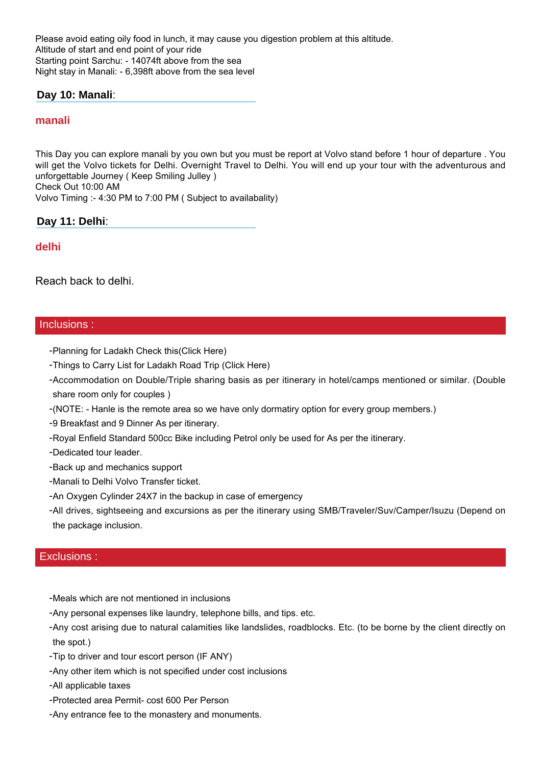Please avoid eating oily food in lunch, it may cause you digestion problem at this altitude. Altitude of start and end point of your ride Starting point Sarchu: - 14074ft above from the sea Night stay in Manali: - 6,398ft above from the sea level

## **Day 10: Manali**:

#### **manali**

This Day you can explore manali by you own but you must be report at Volvo stand before 1 hour of departure . You will get the Volvo tickets for Delhi. Overnight Travel to Delhi. You will end up your tour with the adventurous and unforgettable Journey ( Keep Smiling Julley ) Check Out 10:00 AM

Volvo Timing :- 4:30 PM to 7:00 PM ( Subject to availabality)

#### **Day 11: Delhi**:

#### **delhi**

Reach back to delhi.

#### Inclusions :

- -Planning for Ladakh Check this(Click Here)
- -Things to Carry List for Ladakh Road Trip (Click Here)
- Accommodation on Double/Triple sharing basis as per itinerary in hotel/camps mentioned or similar. (Double share room only for couples )
- -(NOTE: Hanle is the remote area so we have only dormatiry option for every group members.)
- -9 Breakfast and 9 Dinner As per itinerary.
- -Royal Enfield Standard 500cc Bike including Petrol only be used for As per the itinerary.
- -Dedicated tour leader.
- -Back up and mechanics support
- -Manali to Delhi Volvo Transfer ticket.
- -An Oxygen Cylinder 24X7 in the backup in case of emergency
- -All drives, sightseeing and excursions as per the itinerary using SMB/Traveler/Suv/Camper/Isuzu (Depend on the package inclusion.

#### Exclusions :

- -Meals which are not mentioned in inclusions
- -Any personal expenses like laundry, telephone bills, and tips. etc.
- -Any cost arising due to natural calamities like landslides, roadblocks. Etc. (to be borne by the client directly on the spot.)
- -Tip to driver and tour escort person (IF ANY)
- -Any other item which is not specified under cost inclusions
- -All applicable taxes
- -Protected area Permit- cost 600 Per Person
- -Any entrance fee to the monastery and monuments.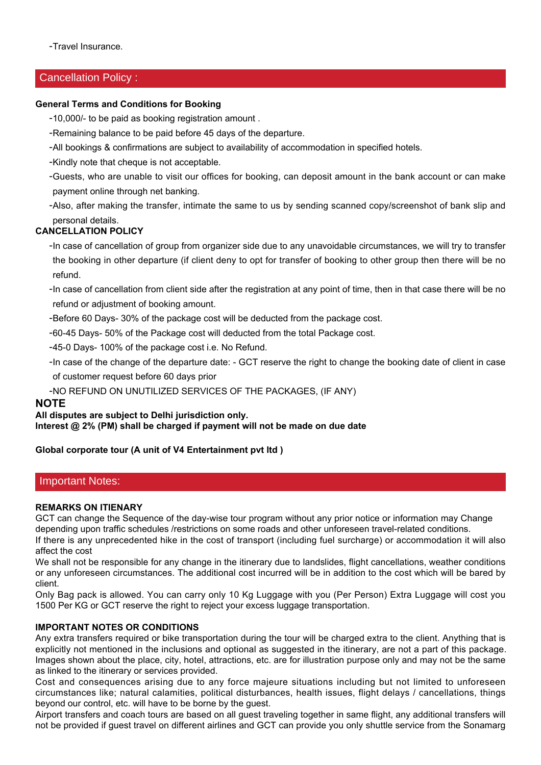-Travel Insurance.

### Cancellation Policy :

#### **General Terms and Conditions for Booking**

-10,000/- to be paid as booking registration amount .

- -Remaining balance to be paid before 45 days of the departure.
- -All bookings & confirmations are subject to availability of accommodation in specified hotels.
- -Kindly note that cheque is not acceptable.
- Guests, who are unable to visit our offices for booking, can deposit amount in the bank account or can make payment online through net banking.
- -Also, after making the transfer, intimate the same to us by sending scanned copy/screenshot of bank slip and personal details.

#### **CANCELLATION POLICY**

-In case of cancellation of group from organizer side due to any unavoidable circumstances, we will try to transfer the booking in other departure (if client deny to opt for transfer of booking to other group then there will be no refund.

-In case of cancellation from client side after the registration at any point of time, then in that case there will be no refund or adjustment of booking amount.

-Before 60 Days- 30% of the package cost will be deducted from the package cost.

-60-45 Days- 50% of the Package cost will deducted from the total Package cost.

-45-0 Days- 100% of the package cost i.e. No Refund.

-In case of the change of the departure date: - GCT reserve the right to change the booking date of client in case of customer request before 60 days prior

-NO REFUND ON UNUTILIZED SERVICES OF THE PACKAGES, (IF ANY)

#### **NOTE**

#### **All disputes are subject to Delhi jurisdiction only.**

**Interest @ 2% (PM) shall be charged if payment will not be made on due date**

#### **Global corporate tour (A unit of V4 Entertainment pvt ltd )**

#### Important Notes:

#### **REMARKS ON ITIENARY**

GCT can change the Sequence of the day-wise tour program without any prior notice or information may Change depending upon traffic schedules /restrictions on some roads and other unforeseen travel-related conditions.

If there is any unprecedented hike in the cost of transport (including fuel surcharge) or accommodation it will also affect the cost

We shall not be responsible for any change in the itinerary due to landslides, flight cancellations, weather conditions or any unforeseen circumstances. The additional cost incurred will be in addition to the cost which will be bared by client.

Only Bag pack is allowed. You can carry only 10 Kg Luggage with you (Per Person) Extra Luggage will cost you 1500 Per KG or GCT reserve the right to reject your excess luggage transportation.

#### **IMPORTANT NOTES OR CONDITIONS**

Any extra transfers required or bike transportation during the tour will be charged extra to the client. Anything that is explicitly not mentioned in the inclusions and optional as suggested in the itinerary, are not a part of this package. Images shown about the place, city, hotel, attractions, etc. are for illustration purpose only and may not be the same as linked to the itinerary or services provided.

Cost and consequences arising due to any force majeure situations including but not limited to unforeseen circumstances like; natural calamities, political disturbances, health issues, flight delays / cancellations, things beyond our control, etc. will have to be borne by the guest.

Airport transfers and coach tours are based on all guest traveling together in same flight, any additional transfers will not be provided if guest travel on different airlines and GCT can provide you only shuttle service from the Sonamarg